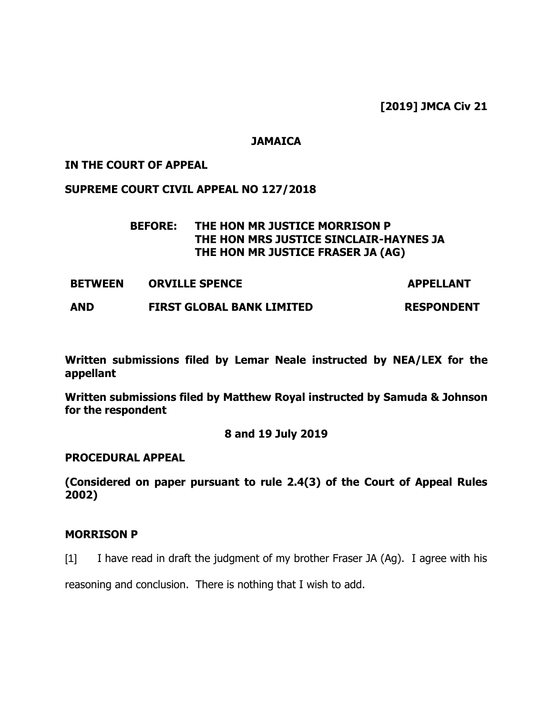**[2019] JMCA Civ 21**

### **JAMAICA**

### **IN THE COURT OF APPEAL**

### **SUPREME COURT CIVIL APPEAL NO 127/2018**

## **BEFORE: THE HON MR JUSTICE MORRISON P THE HON MRS JUSTICE SINCLAIR-HAYNES JA THE HON MR JUSTICE FRASER JA (AG)**

**BETWEEN ORVILLE SPENCE APPELLANT** 

**AND FIRST GLOBAL BANK LIMITED RESPONDENT**

**Written submissions filed by Lemar Neale instructed by NEA/LEX for the appellant**

**Written submissions filed by Matthew Royal instructed by Samuda & Johnson for the respondent** 

## **8 and 19 July 2019**

### **PROCEDURAL APPEAL**

**(Considered on paper pursuant to rule 2.4(3) of the Court of Appeal Rules 2002)**

### **MORRISON P**

[1] I have read in draft the judgment of my brother Fraser JA (Ag). I agree with his

reasoning and conclusion. There is nothing that I wish to add.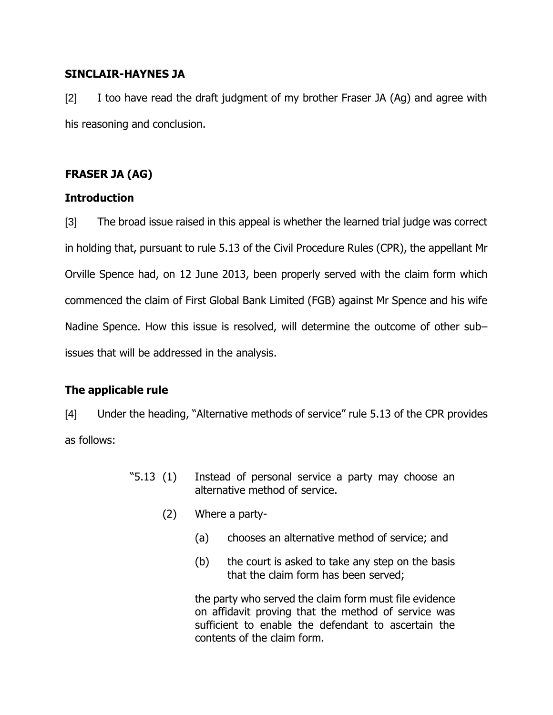## **SINCLAIR-HAYNES JA**

[2] I too have read the draft judgment of my brother Fraser JA (Ag) and agree with his reasoning and conclusion.

# **FRASER JA (AG)**

## **Introduction**

[3] The broad issue raised in this appeal is whether the learned trial judge was correct in holding that, pursuant to rule 5.13 of the Civil Procedure Rules (CPR), the appellant Mr Orville Spence had, on 12 June 2013, been properly served with the claim form which commenced the claim of First Global Bank Limited (FGB) against Mr Spence and his wife Nadine Spence. How this issue is resolved, will determine the outcome of other sub– issues that will be addressed in the analysis.

## **The applicable rule**

[4] Under the heading, "Alternative methods of service" rule 5.13 of the CPR provides as follows:

- "5.13 (1) Instead of personal service a party may choose an alternative method of service.
	- (2) Where a party-
		- (a) chooses an alternative method of service; and
		- (b) the court is asked to take any step on the basis that the claim form has been served;

the party who served the claim form must file evidence on affidavit proving that the method of service was sufficient to enable the defendant to ascertain the contents of the claim form.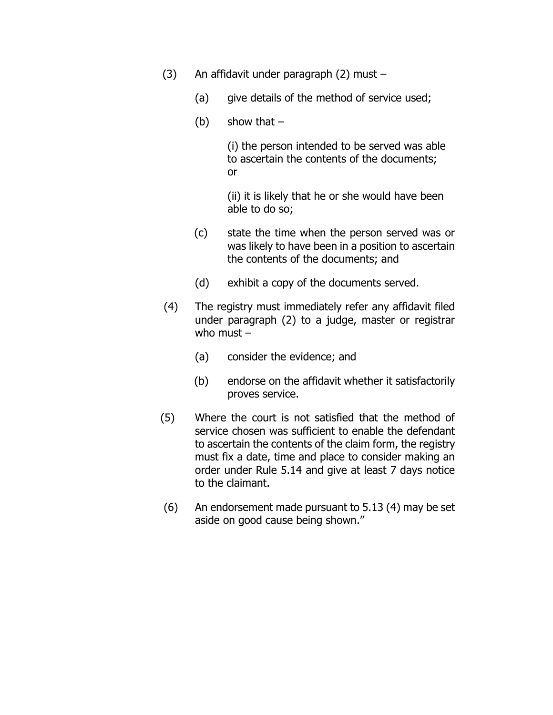- (3) An affidavit under paragraph (2) must
	- (a) give details of the method of service used;
	- (b) show that  $-$

(i) the person intended to be served was able to ascertain the contents of the documents; or

(ii) it is likely that he or she would have been able to do so;

- (c) state the time when the person served was or was likely to have been in a position to ascertain the contents of the documents; and
- (d) exhibit a copy of the documents served.
- (4) The registry must immediately refer any affidavit filed under paragraph (2) to a judge, master or registrar who must –
	- (a) consider the evidence; and
	- (b) endorse on the affidavit whether it satisfactorily proves service.
- (5) Where the court is not satisfied that the method of service chosen was sufficient to enable the defendant to ascertain the contents of the claim form, the registry must fix a date, time and place to consider making an order under Rule 5.14 and give at least 7 days notice to the claimant.
- (6) An endorsement made pursuant to 5.13 (4) may be set aside on good cause being shown."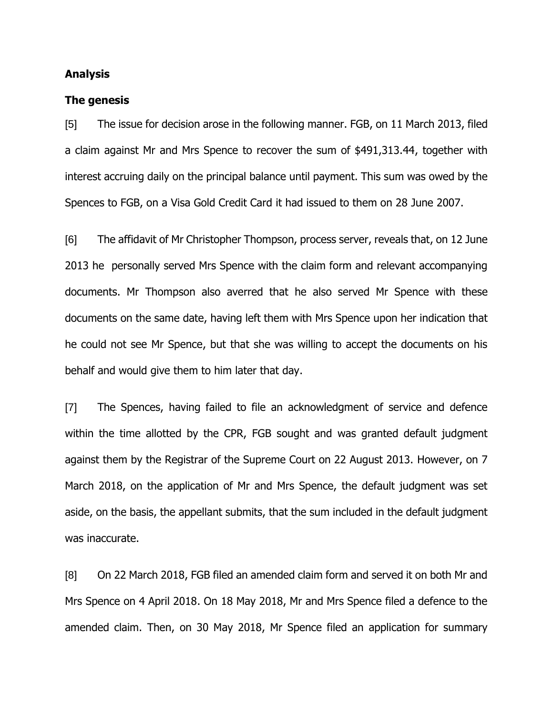### **Analysis**

#### **The genesis**

[5] The issue for decision arose in the following manner. FGB, on 11 March 2013, filed a claim against Mr and Mrs Spence to recover the sum of \$491,313.44, together with interest accruing daily on the principal balance until payment. This sum was owed by the Spences to FGB, on a Visa Gold Credit Card it had issued to them on 28 June 2007.

[6] The affidavit of Mr Christopher Thompson, process server, reveals that, on 12 June 2013 he personally served Mrs Spence with the claim form and relevant accompanying documents. Mr Thompson also averred that he also served Mr Spence with these documents on the same date, having left them with Mrs Spence upon her indication that he could not see Mr Spence, but that she was willing to accept the documents on his behalf and would give them to him later that day.

[7] The Spences, having failed to file an acknowledgment of service and defence within the time allotted by the CPR, FGB sought and was granted default judgment against them by the Registrar of the Supreme Court on 22 August 2013. However, on 7 March 2018, on the application of Mr and Mrs Spence, the default judgment was set aside, on the basis, the appellant submits, that the sum included in the default judgment was inaccurate.

[8] On 22 March 2018, FGB filed an amended claim form and served it on both Mr and Mrs Spence on 4 April 2018. On 18 May 2018, Mr and Mrs Spence filed a defence to the amended claim. Then, on 30 May 2018, Mr Spence filed an application for summary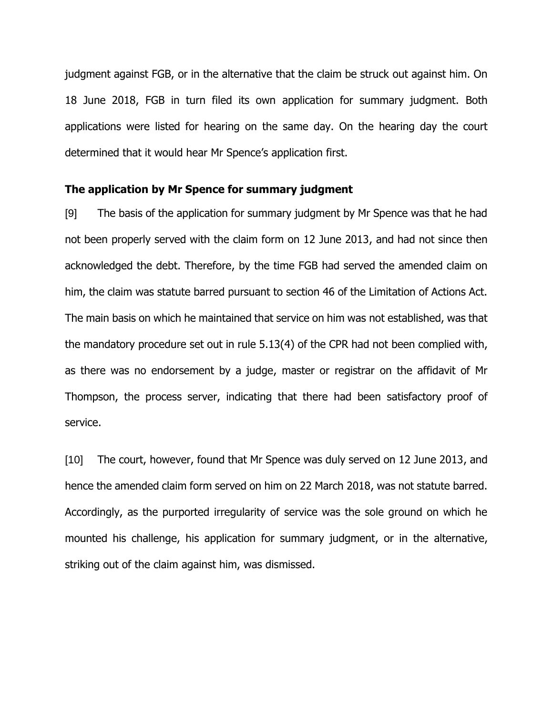judgment against FGB, or in the alternative that the claim be struck out against him. On 18 June 2018, FGB in turn filed its own application for summary judgment. Both applications were listed for hearing on the same day. On the hearing day the court determined that it would hear Mr Spence's application first.

#### **The application by Mr Spence for summary judgment**

[9] The basis of the application for summary judgment by Mr Spence was that he had not been properly served with the claim form on 12 June 2013, and had not since then acknowledged the debt. Therefore, by the time FGB had served the amended claim on him, the claim was statute barred pursuant to section 46 of the Limitation of Actions Act. The main basis on which he maintained that service on him was not established, was that the mandatory procedure set out in rule 5.13(4) of the CPR had not been complied with, as there was no endorsement by a judge, master or registrar on the affidavit of Mr Thompson, the process server, indicating that there had been satisfactory proof of service.

[10] The court, however, found that Mr Spence was duly served on 12 June 2013, and hence the amended claim form served on him on 22 March 2018, was not statute barred. Accordingly, as the purported irregularity of service was the sole ground on which he mounted his challenge, his application for summary judgment, or in the alternative, striking out of the claim against him, was dismissed.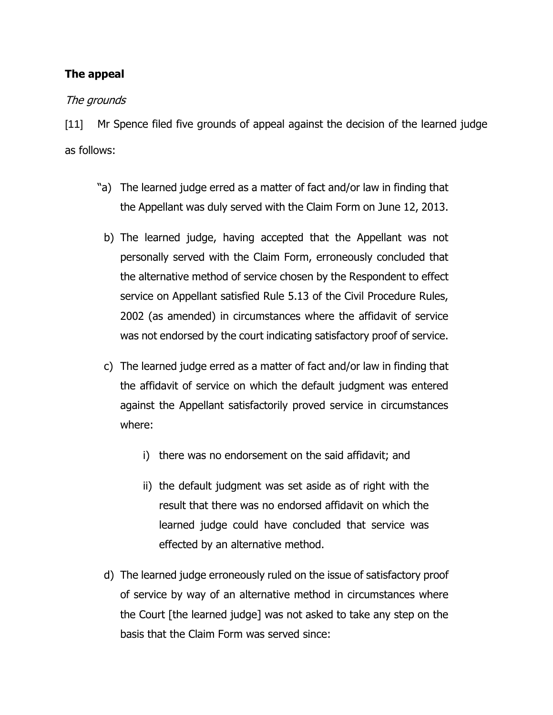# **The appeal**

## The grounds

[11] Mr Spence filed five grounds of appeal against the decision of the learned judge as follows:

- "a) The learned judge erred as a matter of fact and/or law in finding that the Appellant was duly served with the Claim Form on June 12, 2013.
	- b) The learned judge, having accepted that the Appellant was not personally served with the Claim Form, erroneously concluded that the alternative method of service chosen by the Respondent to effect service on Appellant satisfied Rule 5.13 of the Civil Procedure Rules, 2002 (as amended) in circumstances where the affidavit of service was not endorsed by the court indicating satisfactory proof of service.
	- c) The learned judge erred as a matter of fact and/or law in finding that the affidavit of service on which the default judgment was entered against the Appellant satisfactorily proved service in circumstances where:
		- i) there was no endorsement on the said affidavit; and
		- ii) the default judgment was set aside as of right with the result that there was no endorsed affidavit on which the learned judge could have concluded that service was effected by an alternative method.
	- d) The learned judge erroneously ruled on the issue of satisfactory proof of service by way of an alternative method in circumstances where the Court [the learned judge] was not asked to take any step on the basis that the Claim Form was served since: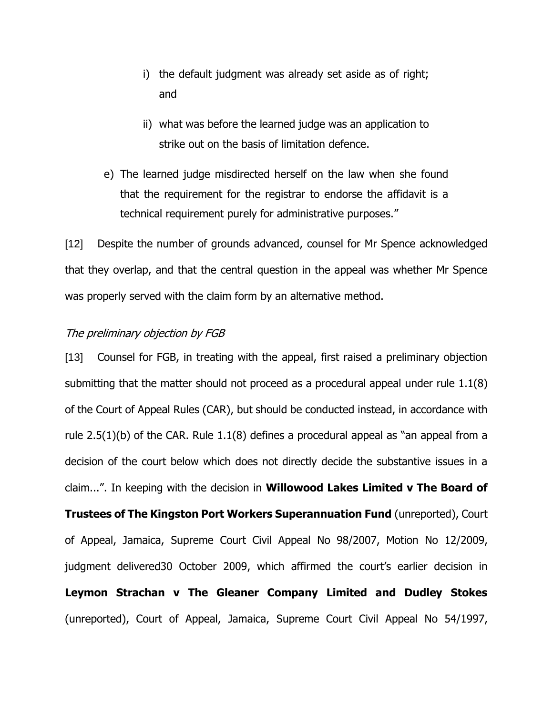- i) the default judgment was already set aside as of right; and
- ii) what was before the learned judge was an application to strike out on the basis of limitation defence.
- e) The learned judge misdirected herself on the law when she found that the requirement for the registrar to endorse the affidavit is a technical requirement purely for administrative purposes."

[12] Despite the number of grounds advanced, counsel for Mr Spence acknowledged that they overlap, and that the central question in the appeal was whether Mr Spence was properly served with the claim form by an alternative method.

### The preliminary objection by FGB

[13] Counsel for FGB, in treating with the appeal, first raised a preliminary objection submitting that the matter should not proceed as a procedural appeal under rule 1.1(8) of the Court of Appeal Rules (CAR), but should be conducted instead, in accordance with rule  $2.5(1)(b)$  of the CAR. Rule  $1.1(8)$  defines a procedural appeal as "an appeal from a decision of the court below which does not directly decide the substantive issues in a claim...". In keeping with the decision in **Willowood Lakes Limited v The Board of Trustees of The Kingston Port Workers Superannuation Fund** (unreported), Court of Appeal, Jamaica, Supreme Court Civil Appeal No 98/2007, Motion No 12/2009, judgment delivered30 October 2009, which affirmed the court's earlier decision in **Leymon Strachan v The Gleaner Company Limited and Dudley Stokes** (unreported), Court of Appeal, Jamaica, Supreme Court Civil Appeal No 54/1997,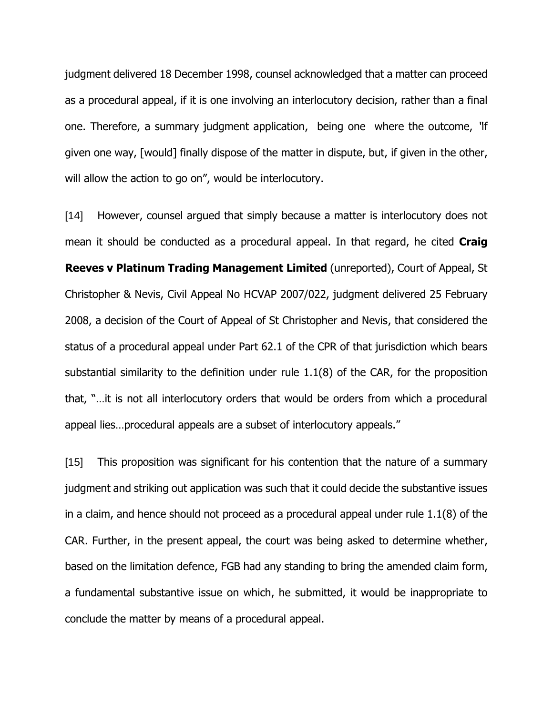judgment delivered 18 December 1998, counsel acknowledged that a matter can proceed as a procedural appeal, if it is one involving an interlocutory decision, rather than a final one. Therefore, a summary judgment application, being one where the outcome, "if given one way, [would] finally dispose of the matter in dispute, but, if given in the other, will allow the action to go on", would be interlocutory.

[14] However, counsel argued that simply because a matter is interlocutory does not mean it should be conducted as a procedural appeal. In that regard, he cited **Craig Reeves v Platinum Trading Management Limited** (unreported), Court of Appeal, St Christopher & Nevis, Civil Appeal No HCVAP 2007/022, judgment delivered 25 February 2008, a decision of the Court of Appeal of St Christopher and Nevis, that considered the status of a procedural appeal under Part 62.1 of the CPR of that jurisdiction which bears substantial similarity to the definition under rule 1.1(8) of the CAR, for the proposition that, "…it is not all interlocutory orders that would be orders from which a procedural appeal lies…procedural appeals are a subset of interlocutory appeals."

[15] This proposition was significant for his contention that the nature of a summary judgment and striking out application was such that it could decide the substantive issues in a claim, and hence should not proceed as a procedural appeal under rule 1.1(8) of the CAR. Further, in the present appeal, the court was being asked to determine whether, based on the limitation defence, FGB had any standing to bring the amended claim form, a fundamental substantive issue on which, he submitted, it would be inappropriate to conclude the matter by means of a procedural appeal.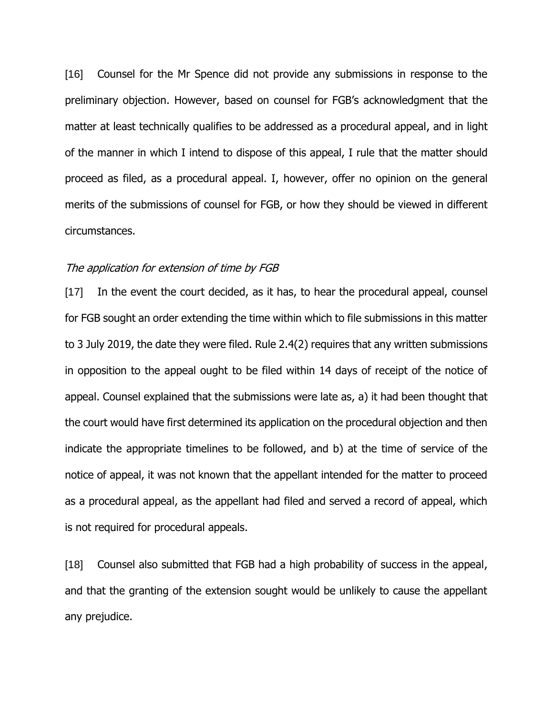[16] Counsel for the Mr Spence did not provide any submissions in response to the preliminary objection. However, based on counsel for FGB's acknowledgment that the matter at least technically qualifies to be addressed as a procedural appeal, and in light of the manner in which I intend to dispose of this appeal, I rule that the matter should proceed as filed, as a procedural appeal. I, however, offer no opinion on the general merits of the submissions of counsel for FGB, or how they should be viewed in different circumstances.

### The application for extension of time by FGB

[17] In the event the court decided, as it has, to hear the procedural appeal, counsel for FGB sought an order extending the time within which to file submissions in this matter to 3 July 2019, the date they were filed. Rule 2.4(2) requires that any written submissions in opposition to the appeal ought to be filed within 14 days of receipt of the notice of appeal. Counsel explained that the submissions were late as, a) it had been thought that the court would have first determined its application on the procedural objection and then indicate the appropriate timelines to be followed, and b) at the time of service of the notice of appeal, it was not known that the appellant intended for the matter to proceed as a procedural appeal, as the appellant had filed and served a record of appeal, which is not required for procedural appeals.

[18] Counsel also submitted that FGB had a high probability of success in the appeal, and that the granting of the extension sought would be unlikely to cause the appellant any prejudice.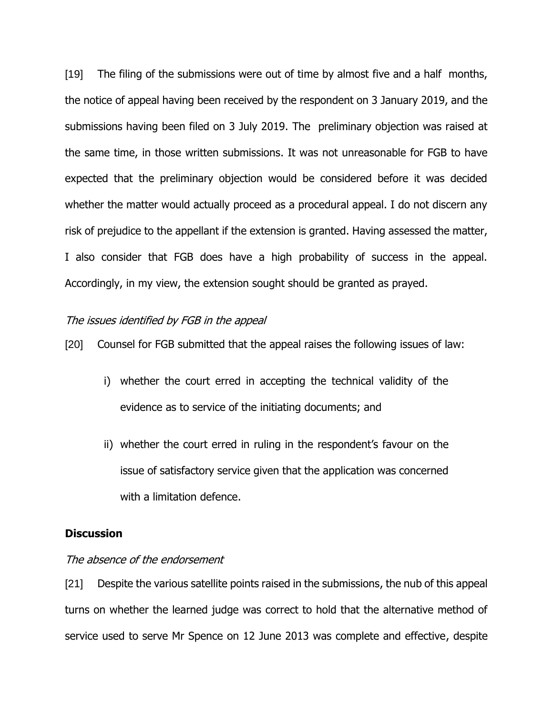[19] The filing of the submissions were out of time by almost five and a half months, the notice of appeal having been received by the respondent on 3 January 2019, and the submissions having been filed on 3 July 2019. The preliminary objection was raised at the same time, in those written submissions. It was not unreasonable for FGB to have expected that the preliminary objection would be considered before it was decided whether the matter would actually proceed as a procedural appeal. I do not discern any risk of prejudice to the appellant if the extension is granted. Having assessed the matter, I also consider that FGB does have a high probability of success in the appeal. Accordingly, in my view, the extension sought should be granted as prayed.

### The issues identified by FGB in the appeal

[20] Counsel for FGB submitted that the appeal raises the following issues of law:

- i) whether the court erred in accepting the technical validity of the evidence as to service of the initiating documents; and
- ii) whether the court erred in ruling in the respondent's favour on the issue of satisfactory service given that the application was concerned with a limitation defence.

### **Discussion**

### The absence of the endorsement

[21] Despite the various satellite points raised in the submissions, the nub of this appeal turns on whether the learned judge was correct to hold that the alternative method of service used to serve Mr Spence on 12 June 2013 was complete and effective, despite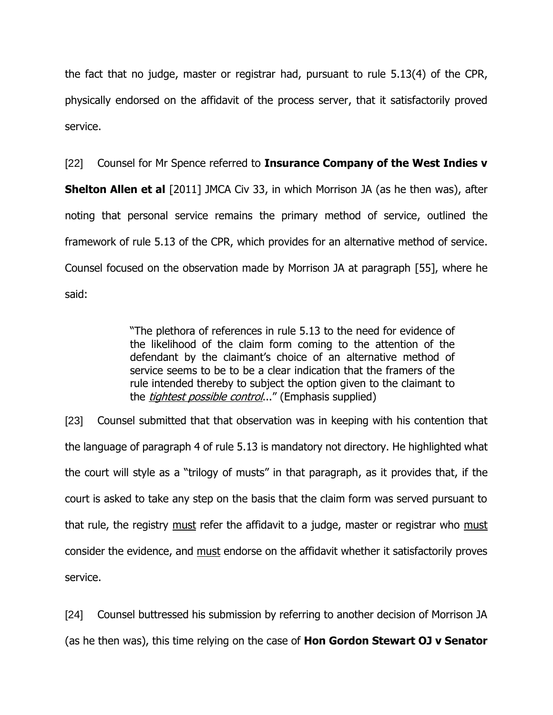the fact that no judge, master or registrar had, pursuant to rule 5.13(4) of the CPR, physically endorsed on the affidavit of the process server, that it satisfactorily proved service.

[22] Counsel for Mr Spence referred to **Insurance Company of the West Indies v Shelton Allen et al** [2011] JMCA Civ 33, in which Morrison JA (as he then was), after noting that personal service remains the primary method of service, outlined the framework of rule 5.13 of the CPR, which provides for an alternative method of service. Counsel focused on the observation made by Morrison JA at paragraph [55], where he said:

> "The plethora of references in rule 5.13 to the need for evidence of the likelihood of the claim form coming to the attention of the defendant by the claimant's choice of an alternative method of service seems to be to be a clear indication that the framers of the rule intended thereby to subject the option given to the claimant to the *tightest possible control...*" (Emphasis supplied)

[23] Counsel submitted that that observation was in keeping with his contention that the language of paragraph 4 of rule 5.13 is mandatory not directory. He highlighted what the court will style as a "trilogy of musts" in that paragraph, as it provides that, if the court is asked to take any step on the basis that the claim form was served pursuant to that rule, the registry must refer the affidavit to a judge, master or registrar who must consider the evidence, and must endorse on the affidavit whether it satisfactorily proves service.

[24] Counsel buttressed his submission by referring to another decision of Morrison JA (as he then was), this time relying on the case of **Hon Gordon Stewart OJ v Senator**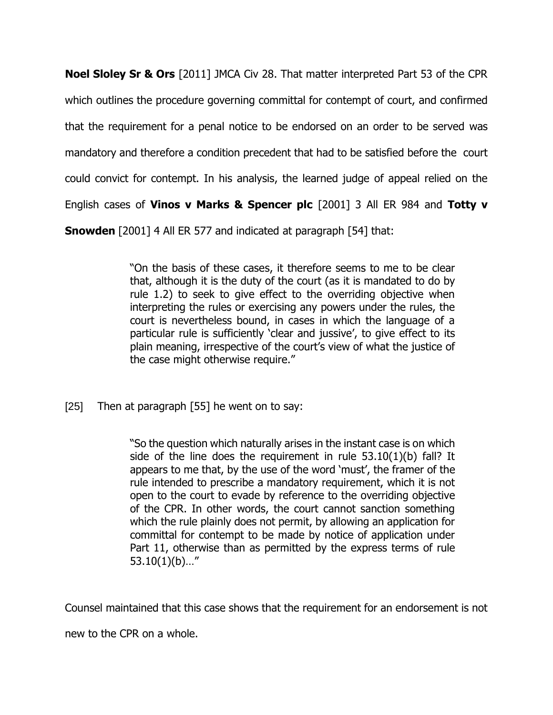**Noel Sloley Sr & Ors** [2011] JMCA Civ 28. That matter interpreted Part 53 of the CPR which outlines the procedure governing committal for contempt of court, and confirmed that the requirement for a penal notice to be endorsed on an order to be served was mandatory and therefore a condition precedent that had to be satisfied before the court could convict for contempt. In his analysis, the learned judge of appeal relied on the English cases of **Vinos v Marks & Spencer plc** [2001] 3 All ER 984 and **Totty v** 

**Snowden** [2001] 4 All ER 577 and indicated at paragraph [54] that:

"On the basis of these cases, it therefore seems to me to be clear that, although it is the duty of the court (as it is mandated to do by rule 1.2) to seek to give effect to the overriding objective when interpreting the rules or exercising any powers under the rules, the court is nevertheless bound, in cases in which the language of a particular rule is sufficiently 'clear and jussive', to give effect to its plain meaning, irrespective of the court's view of what the justice of the case might otherwise require."

[25] Then at paragraph [55] he went on to say:

"So the question which naturally arises in the instant case is on which side of the line does the requirement in rule 53.10(1)(b) fall? It appears to me that, by the use of the word 'must', the framer of the rule intended to prescribe a mandatory requirement, which it is not open to the court to evade by reference to the overriding objective of the CPR. In other words, the court cannot sanction something which the rule plainly does not permit, by allowing an application for committal for contempt to be made by notice of application under Part 11, otherwise than as permitted by the express terms of rule 53.10(1)(b)…"

Counsel maintained that this case shows that the requirement for an endorsement is not

new to the CPR on a whole.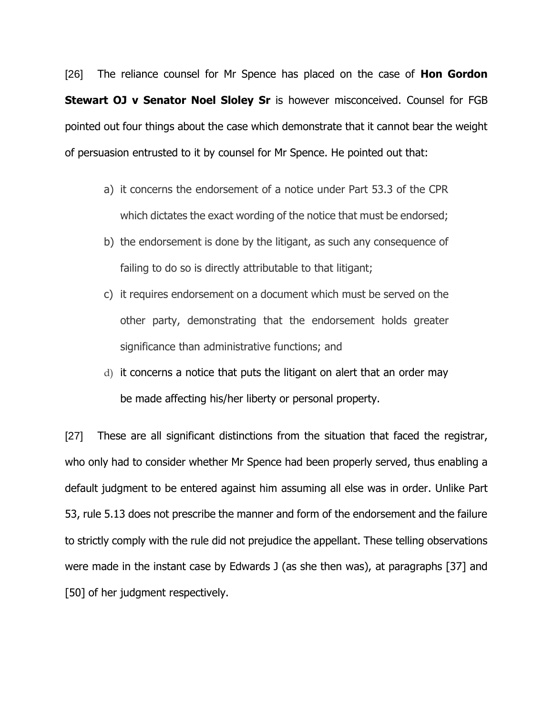[26] The reliance counsel for Mr Spence has placed on the case of **Hon Gordon Stewart OJ v Senator Noel Sloley Sr** is however misconceived. Counsel for FGB pointed out four things about the case which demonstrate that it cannot bear the weight of persuasion entrusted to it by counsel for Mr Spence. He pointed out that:

- a) it concerns the endorsement of a notice under Part 53.3 of the CPR which dictates the exact wording of the notice that must be endorsed;
- b) the endorsement is done by the litigant, as such any consequence of failing to do so is directly attributable to that litigant;
- c) it requires endorsement on a document which must be served on the other party, demonstrating that the endorsement holds greater significance than administrative functions; and
- d) it concerns a notice that puts the litigant on alert that an order may be made affecting his/her liberty or personal property.

[27] These are all significant distinctions from the situation that faced the registrar, who only had to consider whether Mr Spence had been properly served, thus enabling a default judgment to be entered against him assuming all else was in order. Unlike Part 53, rule 5.13 does not prescribe the manner and form of the endorsement and the failure to strictly comply with the rule did not prejudice the appellant. These telling observations were made in the instant case by Edwards J (as she then was), at paragraphs [37] and [50] of her judgment respectively.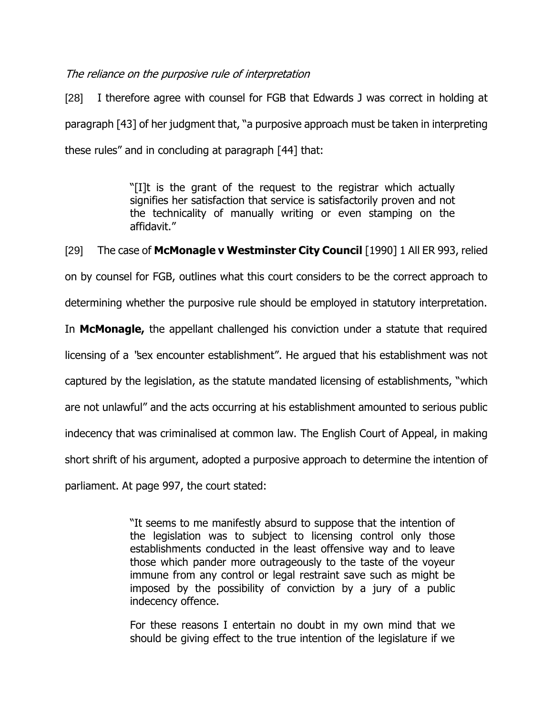## The reliance on the purposive rule of interpretation

[28] I therefore agree with counsel for FGB that Edwards J was correct in holding at paragraph [43] of her judgment that, "a purposive approach must be taken in interpreting these rules" and in concluding at paragraph [44] that:

> "[I]t is the grant of the request to the registrar which actually signifies her satisfaction that service is satisfactorily proven and not the technicality of manually writing or even stamping on the affidavit."

[29] The case of **McMonagle v Westminster City Council** [1990] 1 All ER 993, relied

on by counsel for FGB, outlines what this court considers to be the correct approach to

determining whether the purposive rule should be employed in statutory interpretation.

In **McMonagle,** the appellant challenged his conviction under a statute that required

licensing of a "sex encounter establishment". He argued that his establishment was not

captured by the legislation, as the statute mandated licensing of establishments, "which

are not unlawful" and the acts occurring at his establishment amounted to serious public

indecency that was criminalised at common law. The English Court of Appeal, in making

short shrift of his argument, adopted a purposive approach to determine the intention of

parliament. At page 997, the court stated:

"It seems to me manifestly absurd to suppose that the intention of the legislation was to subject to licensing control only those establishments conducted in the least offensive way and to leave those which pander more outrageously to the taste of the voyeur immune from any control or legal restraint save such as might be imposed by the possibility of conviction by a jury of a public indecency offence.

For these reasons I entertain no doubt in my own mind that we should be giving effect to the true intention of the legislature if we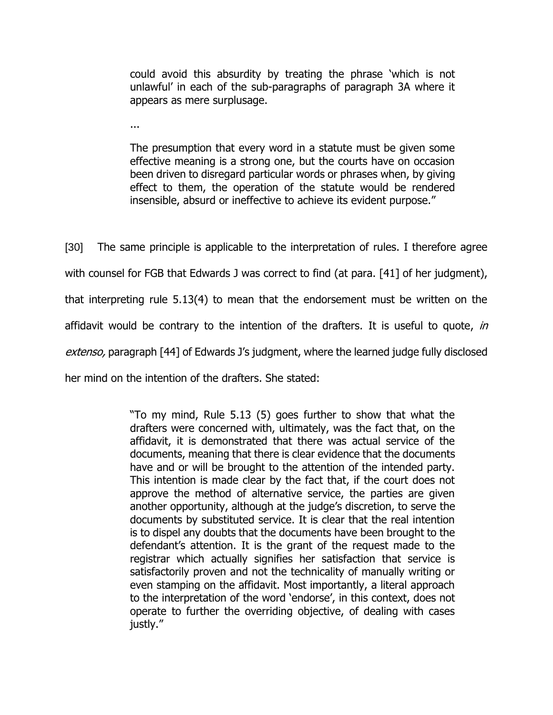could avoid this absurdity by treating the phrase 'which is not unlawful' in each of the sub-paragraphs of paragraph 3A where it appears as mere surplusage.

...

The presumption that every word in a statute must be given some effective meaning is a strong one, but the courts have on occasion been driven to disregard particular words or phrases when, by giving effect to them, the operation of the statute would be rendered insensible, absurd or ineffective to achieve its evident purpose."

[30] The same principle is applicable to the interpretation of rules. I therefore agree with counsel for FGB that Edwards J was correct to find (at para. [41] of her judgment), that interpreting rule 5.13(4) to mean that the endorsement must be written on the affidavit would be contrary to the intention of the drafters. It is useful to quote, in extenso, paragraph [44] of Edwards J's judgment, where the learned judge fully disclosed her mind on the intention of the drafters. She stated:

> "To my mind, Rule 5.13 (5) goes further to show that what the drafters were concerned with, ultimately, was the fact that, on the affidavit, it is demonstrated that there was actual service of the documents, meaning that there is clear evidence that the documents have and or will be brought to the attention of the intended party. This intention is made clear by the fact that, if the court does not approve the method of alternative service, the parties are given another opportunity, although at the judge's discretion, to serve the documents by substituted service. It is clear that the real intention is to dispel any doubts that the documents have been brought to the defendant's attention. It is the grant of the request made to the registrar which actually signifies her satisfaction that service is satisfactorily proven and not the technicality of manually writing or even stamping on the affidavit. Most importantly, a literal approach to the interpretation of the word 'endorse', in this context, does not operate to further the overriding objective, of dealing with cases justly."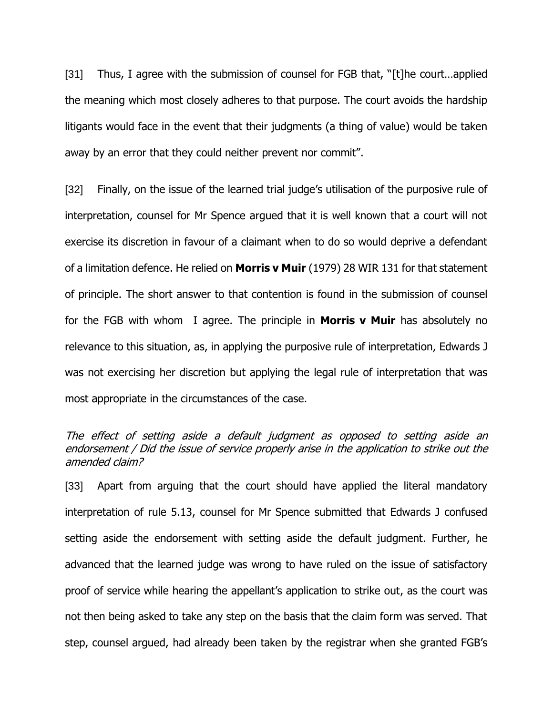[31] Thus, I agree with the submission of counsel for FGB that, "[t]he court...applied the meaning which most closely adheres to that purpose. The court avoids the hardship litigants would face in the event that their judgments (a thing of value) would be taken away by an error that they could neither prevent nor commit".

[32] Finally, on the issue of the learned trial judge's utilisation of the purposive rule of interpretation, counsel for Mr Spence argued that it is well known that a court will not exercise its discretion in favour of a claimant when to do so would deprive a defendant of a limitation defence. He relied on **Morris v Muir** (1979) 28 WIR 131 for that statement of principle. The short answer to that contention is found in the submission of counsel for the FGB with whom I agree. The principle in **Morris v Muir** has absolutely no relevance to this situation, as, in applying the purposive rule of interpretation, Edwards J was not exercising her discretion but applying the legal rule of interpretation that was most appropriate in the circumstances of the case.

## The effect of setting aside a default judgment as opposed to setting aside an endorsement / Did the issue of service properly arise in the application to strike out the amended claim?

[33] Apart from arguing that the court should have applied the literal mandatory interpretation of rule 5.13, counsel for Mr Spence submitted that Edwards J confused setting aside the endorsement with setting aside the default judgment. Further, he advanced that the learned judge was wrong to have ruled on the issue of satisfactory proof of service while hearing the appellant's application to strike out, as the court was not then being asked to take any step on the basis that the claim form was served. That step, counsel argued, had already been taken by the registrar when she granted FGB's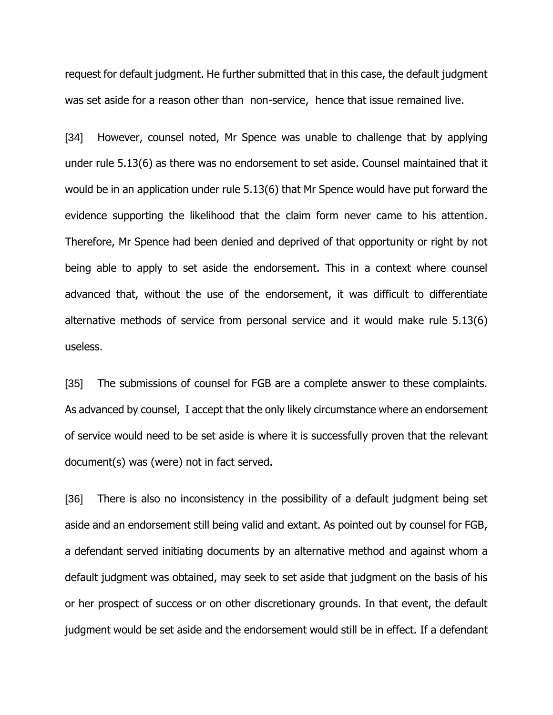request for default judgment. He further submitted that in this case, the default judgment was set aside for a reason other than non-service, hence that issue remained live.

[34] However, counsel noted, Mr Spence was unable to challenge that by applying under rule 5.13(6) as there was no endorsement to set aside. Counsel maintained that it would be in an application under rule 5.13(6) that Mr Spence would have put forward the evidence supporting the likelihood that the claim form never came to his attention. Therefore, Mr Spence had been denied and deprived of that opportunity or right by not being able to apply to set aside the endorsement. This in a context where counsel advanced that, without the use of the endorsement, it was difficult to differentiate alternative methods of service from personal service and it would make rule 5.13(6) useless.

[35] The submissions of counsel for FGB are a complete answer to these complaints. As advanced by counsel, I accept that the only likely circumstance where an endorsement of service would need to be set aside is where it is successfully proven that the relevant document(s) was (were) not in fact served.

[36] There is also no inconsistency in the possibility of a default judgment being set aside and an endorsement still being valid and extant. As pointed out by counsel for FGB, a defendant served initiating documents by an alternative method and against whom a default judgment was obtained, may seek to set aside that judgment on the basis of his or her prospect of success or on other discretionary grounds. In that event, the default judgment would be set aside and the endorsement would still be in effect. If a defendant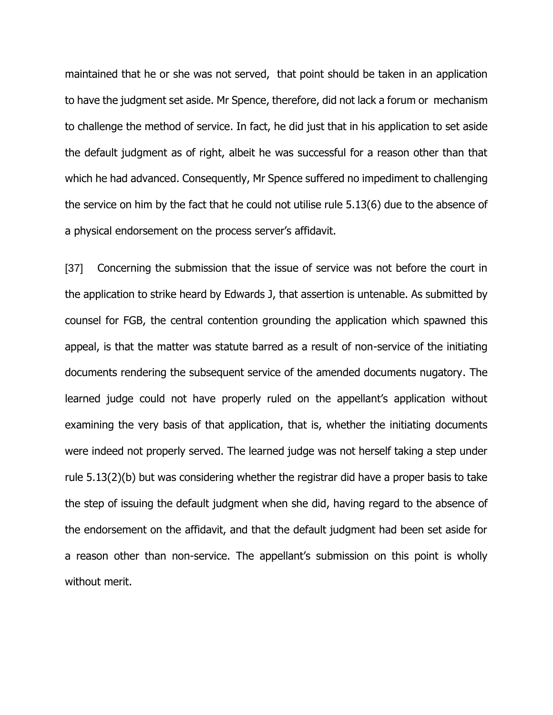maintained that he or she was not served, that point should be taken in an application to have the judgment set aside. Mr Spence, therefore, did not lack a forum or mechanism to challenge the method of service. In fact, he did just that in his application to set aside the default judgment as of right, albeit he was successful for a reason other than that which he had advanced. Consequently, Mr Spence suffered no impediment to challenging the service on him by the fact that he could not utilise rule 5.13(6) due to the absence of a physical endorsement on the process server's affidavit.

[37] Concerning the submission that the issue of service was not before the court in the application to strike heard by Edwards J, that assertion is untenable. As submitted by counsel for FGB, the central contention grounding the application which spawned this appeal, is that the matter was statute barred as a result of non-service of the initiating documents rendering the subsequent service of the amended documents nugatory. The learned judge could not have properly ruled on the appellant's application without examining the very basis of that application, that is, whether the initiating documents were indeed not properly served. The learned judge was not herself taking a step under rule 5.13(2)(b) but was considering whether the registrar did have a proper basis to take the step of issuing the default judgment when she did, having regard to the absence of the endorsement on the affidavit, and that the default judgment had been set aside for a reason other than non-service. The appellant's submission on this point is wholly without merit.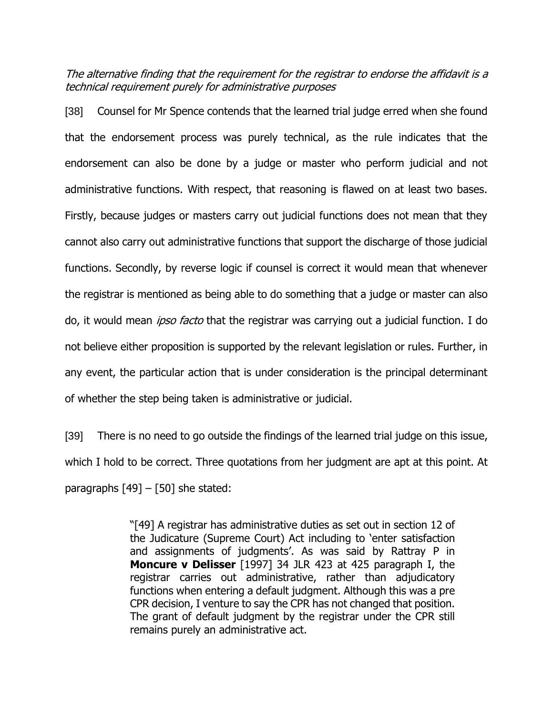The alternative finding that the requirement for the registrar to endorse the affidavit is a technical requirement purely for administrative purposes

[38] Counsel for Mr Spence contends that the learned trial judge erred when she found that the endorsement process was purely technical, as the rule indicates that the endorsement can also be done by a judge or master who perform judicial and not administrative functions. With respect, that reasoning is flawed on at least two bases. Firstly, because judges or masters carry out judicial functions does not mean that they cannot also carry out administrative functions that support the discharge of those judicial functions. Secondly, by reverse logic if counsel is correct it would mean that whenever the registrar is mentioned as being able to do something that a judge or master can also do, it would mean *ipso facto* that the registrar was carrying out a judicial function. I do not believe either proposition is supported by the relevant legislation or rules. Further, in any event, the particular action that is under consideration is the principal determinant of whether the step being taken is administrative or judicial.

[39] There is no need to go outside the findings of the learned trial judge on this issue, which I hold to be correct. Three quotations from her judgment are apt at this point. At paragraphs  $[49]$  –  $[50]$  she stated:

> "[49] A registrar has administrative duties as set out in section 12 of the Judicature (Supreme Court) Act including to 'enter satisfaction and assignments of judgments'. As was said by Rattray P in **Moncure v Delisser** [1997] 34 JLR 423 at 425 paragraph I, the registrar carries out administrative, rather than adjudicatory functions when entering a default judgment. Although this was a pre CPR decision, I venture to say the CPR has not changed that position. The grant of default judgment by the registrar under the CPR still remains purely an administrative act.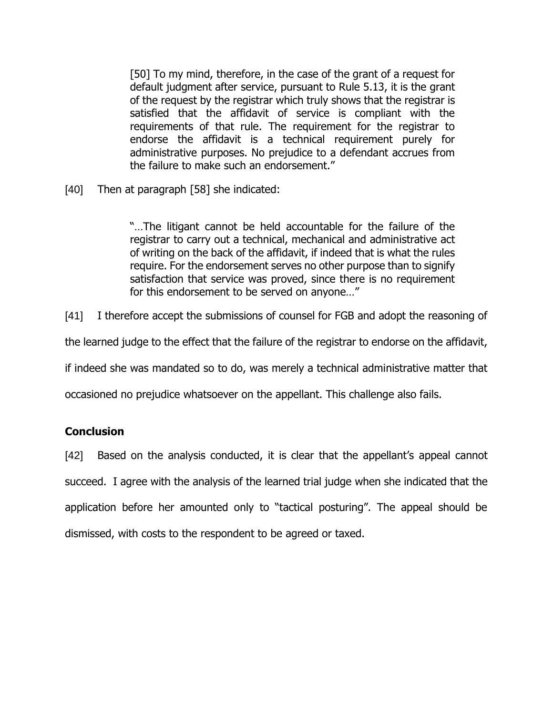[50] To my mind, therefore, in the case of the grant of a request for default judgment after service, pursuant to Rule 5.13, it is the grant of the request by the registrar which truly shows that the registrar is satisfied that the affidavit of service is compliant with the requirements of that rule. The requirement for the registrar to endorse the affidavit is a technical requirement purely for administrative purposes. No prejudice to a defendant accrues from the failure to make such an endorsement."

[40] Then at paragraph [58] she indicated:

"…The litigant cannot be held accountable for the failure of the registrar to carry out a technical, mechanical and administrative act of writing on the back of the affidavit, if indeed that is what the rules require. For the endorsement serves no other purpose than to signify satisfaction that service was proved, since there is no requirement for this endorsement to be served on anyone…"

[41] I therefore accept the submissions of counsel for FGB and adopt the reasoning of

the learned judge to the effect that the failure of the registrar to endorse on the affidavit,

if indeed she was mandated so to do, was merely a technical administrative matter that

occasioned no prejudice whatsoever on the appellant. This challenge also fails.

## **Conclusion**

[42] Based on the analysis conducted, it is clear that the appellant's appeal cannot succeed. I agree with the analysis of the learned trial judge when she indicated that the application before her amounted only to "tactical posturing". The appeal should be dismissed, with costs to the respondent to be agreed or taxed.